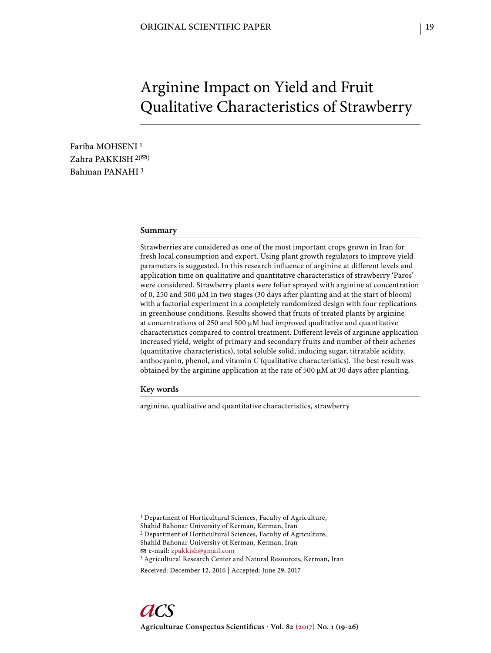# Arginine Impact on Yield and Fruit Qualitative Characteristics of Strawberry

Fariba MOHSENI 1 Zahra PAKKISH  $2($ Bahman PANAHI 3

# **Summary**

Strawberries are considered as one of the most important crops grown in Iran for fresh local consumption and export. Using plant growth regulators to improve yield parameters is suggested. In this research influence of arginine at different levels and application time on qualitative and quantitative characteristics of strawberry 'Paros' were considered. Strawberry plants were foliar sprayed with arginine at concentration of 0, 250 and 500 μM in two stages (30 days after planting and at the start of bloom) with a factorial experiment in a completely randomized design with four replications in greenhouse conditions. Results showed that fruits of treated plants by arginine at concentrations of 250 and 500  $\mu$ M had improved qualitative and quantitative characteristics compared to control treatment. Different levels of arginine application increased yield, weight of primary and secondary fruits and number of their achenes (quantitative characteristics), total soluble solid, inducing sugar, titratable acidity, anthocyanin, phenol, and vitamin  $C$  (qualitative characteristics). The best result was obtained by the arginine application at the rate of 500  $\mu$ M at 30 days after planting.

## **Key words**

arginine, qualitative and quantitative characteristics, strawberry

<sup>1</sup> Department of Horticultural Sciences, Faculty of Agriculture, Shahid Bahonar University of Kerman, Kerman, Iran 2 Department of Horticultural Sciences, Faculty of Agriculture, Shahid Bahonar University of Kerman, Kerman, Iran e-mail: zpakkish@gmail.com 3 Agricultural Research Center and Natural Resources, Kerman, Iran

Received: December 12, 2016 | Accepted: June 29, 2017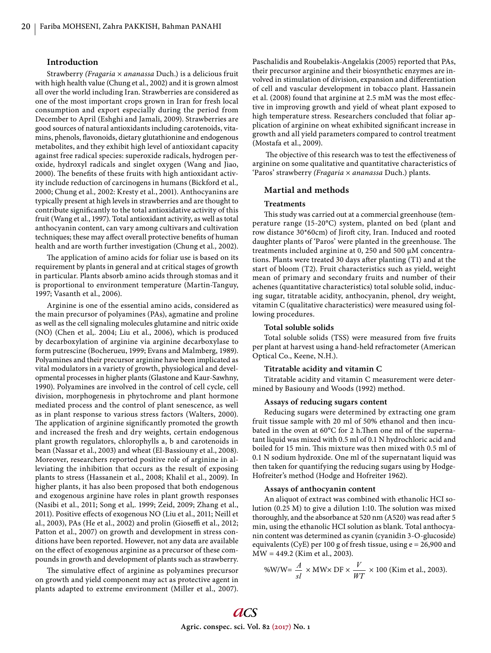# **Introduction**

Strawberry *(Fragaria* × *ananassa* Duch.) is a delicious fruit with high health value (Chung et al., 2002) and it is grown almost all over the world including Iran. Strawberries are considered as one of the most important crops grown in Iran for fresh local consumption and export especially during the period from December to April (Eshghi and Jamali, 2009). Strawberries are good sources of natural antioxidants including carotenoids, vitamins, phenols, flavonoids, dietary glutathionine and endogenous metabolites, and they exhibit high level of antioxidant capacity against free radical species: superoxide radicals, hydrogen peroxide, hydroxyl radicals and singlet oxygen (Wang and Jiao, 2000). The benefits of these fruits with high antioxidant activity include reduction of carcinogens in humans (Bickford et al*.,* 2000; Chung et al*.,* 2002: Kresty et al*.*, 2001). Anthocyanins are typically present at high levels in strawberries and are thought to contribute significantly to the total antioxidative activity of this fruit (Wang et al*.*, 1997). Total antioxidant activity, as well as total anthocyanin content, can vary among cultivars and cultivation techniques; these may affect overall protective benefits of human health and are worth further investigation (Chung et al*.,* 2002).

The application of amino acids for foliar use is based on its requirement by plants in general and at critical stages of growth in particular. Plants absorb amino acids through stomas and it is proportional to environment temperature (Martin-Tanguy, 1997; Vasanth et al*.*, 2006).

Arginine is one of the essential amino acids, considered as the main precursor of polyamines (PAs), agmatine and proline as well as the cell signaling molecules glutamine and nitric oxide (NO) (Chen et al,. 2004; Liu et al., 2006), which is produced by decarboxylation of arginine via arginine decarboxylase to form putrescine (Bocherueu, 1999; Evans and Malmberg, 1989). Polyamines and their precursor arginine have been implicated as vital modulators in a variety of growth, physiological and developmental processes in higher plants (Glastone and Kaur-Sawhny, 1990). Polyamines are involved in the control of cell cycle, cell division, morphogenesis in phytochrome and plant hormone mediated process and the control of plant senescence, as well as in plant response to various stress factors (Walters, 2000). The application of arginine significantly promoted the growth and increased the fresh and dry weights, certain endogenous plant growth regulators, chlorophylls a, b and carotenoids in bean (Nassar et al., 2003) and wheat (El-Bassiouny et al., 2008). Moreover, researchers reported positive role of arginine in alleviating the inhibition that occurs as the result of exposing plants to stress (Hassanein et al., 2008; Khalil et al., 2009). In higher plants, it has also been proposed that both endogenous and exogenous arginine have roles in plant growth responses (Nasibi et al., 2011; Song et al,. 1999; Zeid, 2009; Zhang et al., 2011). Positive effects of exogenous NO (Liu et al., 2011; Neill et al., 2003), PAs (He et al., 2002) and prolin (Gioseffi et al., 2012; Patton et al., 2007) on growth and development in stress conditions have been reported. However, not any data are available on the effect of exogenous arginine as a precursor of these compounds in growth and development of plants such as strawberry.

The simulative effect of arginine as polyamines precursor on growth and yield component may act as protective agent in plants adapted to extreme environment (Miller et al., 2007). Paschalidis and Roubelakis-Angelakis (2005) reported that PAs, their precursor arginine and their biosynthetic enzymes are involved in stimulation of division, expansion and differentiation of cell and vascular development in tobacco plant. Hassanein et al. (2008) found that arginine at 2.5 mM was the most effective in improving growth and yield of wheat plant exposed to high temperature stress. Researchers concluded that foliar application of arginine on wheat exhibited significant increase in growth and all yield parameters compared to control treatment (Mostafa et al., 2009).

The objective of this research was to test the effectiveness of arginine on some qualitative and quantitative characteristics of 'Paros' strawberry *(Fragaria* × *ananassa* Duch.) plants.

# **Martial and methods**

#### **Treatments**

This study was carried out at a commercial greenhouse (temperature range (15-20°C) system, planted on bed (plant and row distance 30\*60cm) of Jiroft city, Iran. Induced and rooted daughter plants of 'Paros' were planted in the greenhouse. The treatments included arginine at 0, 250 and 500 μM concentrations. Plants were treated 30 days after planting (T1) and at the start of bloom (T2). Fruit characteristics such as yield, weight mean of primary and secondary fruits and number of their achenes (quantitative characteristics) total soluble solid, inducing sugar, titratable acidity, anthocyanin, phenol, dry weight, vitamin C (qualitative characteristics) were measured using following procedures.

#### **Total soluble solids**

Total soluble solids (TSS) were measured from five fruits per plant at harvest using a hand-held refractometer (American Optical Co., Keene, N.H.).

## **Titratable acidity and vitamin C**

Titratable acidity and vitamin C measurement were determined by Basiouny and Woods (1992) method.

#### **Assays of reducing sugars content**

Reducing sugars were determined by extracting one gram fruit tissue sample with 20 ml of 50% ethanol and then incubated in the oven at  $60^{\circ}$ C for 2 h.Then one ml of the supernatant liquid was mixed with 0.5 ml of 0.1 N hydrochloric acid and boiled for 15 min. This mixture was then mixed with 0.5 ml of 0.1 N sodium hydroxide. One ml of the supernatant liquid was then taken for quantifying the reducing sugars using by Hodge-Hofreiter's method (Hodge and Hofreiter 1962).

#### **Assays of anthocyanin content**

An aliquot of extract was combined with ethanolic HCI solution  $(0.25 \text{ M})$  to give a dilution 1:10. The solution was mixed thoroughly, and the absorbance at 520 nm (A520) was read after 5 min, using the ethanolic HCI solution as blank. Total anthocyanin content was determined as cyanin (cyanidin 3-O-glucoside) equivalents (CyE) per 100 g of fresh tissue, using e = 26,900 and MW = 449.2 (Kim et al., 2003).

%W/W=
$$
\frac{A}{sI}
$$
 × MW× DF ×  $\frac{V}{WT}$  × 100 (Kim et al., 2003).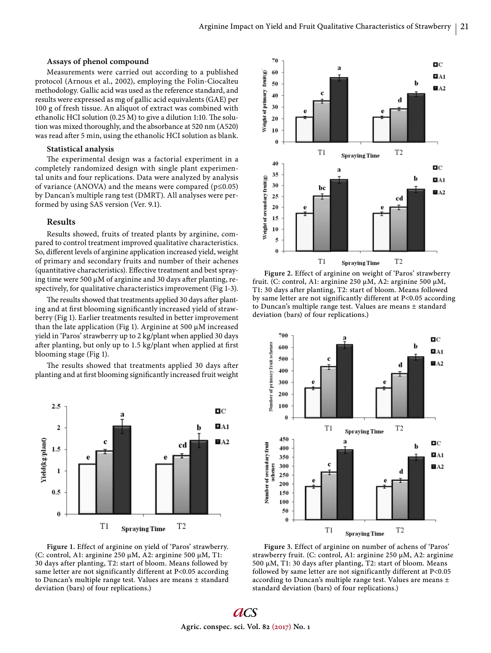# **Assays of phenol compound**

Measurements were carried out according to a published protocol (Arnous et al., 2002), employing the Folin-Ciocalteu methodology. Gallic acid was used as the reference standard, and results were expressed as mg of gallic acid equivalents (GAE) per 100 g of fresh tissue. An aliquot of extract was combined with ethanolic HCI solution (0.25 M) to give a dilution 1:10. The solution was mixed thoroughly, and the absorbance at 520 nm (A520) was read after 5 min, using the ethanolic HCI solution as blank.

### **Statistical analysis**

The experimental design was a factorial experiment in a completely randomized design with single plant experimental units and four replications. Data were analyzed by analysis of variance (ANOVA) and the means were compared ( $p \le 0.05$ ) by Dancan's multiple rang test (DMRT). All analyses were performed by using SAS version (Ver. 9.1).

## **Results**

Results showed, fruits of treated plants by arginine, compared to control treatment improved qualitative characteristics. So, different levels of arginine application increased yield, weight of primary and secondary fruits and number of their achenes (quantitative characteristics). Effective treatment and best spraying time were 500  $\mu$ M of arginine and 30 days after planting, respectively, for qualitative characteristics improvement (Fig 1-3).

The results showed that treatments applied 30 days after planting and at first blooming significantly increased yield of strawberry (Fig 1). Earlier treatments resulted in better improvement than the late application (Fig 1). Arginine at 500 μM increased yield in 'Paros' strawberry up to 2 kg/plant when applied 30 days after planting, but only up to 1.5 kg/plant when applied at first blooming stage (Fig 1).

The results showed that treatments applied 30 days after planting and at first blooming significantly increased fruit weight



**Figure 1.** Effect of arginine on yield of 'Paros' strawberry. (C: control, A1: arginine 250 μM, A2: arginine 500 μM, T1: 30 days after planting, T2: start of bloom. Means followed by same letter are not significantly different at P<0.05 according to Duncan's multiple range test. Values are means ± standard deviation (bars) of four replications.)



**Figure 2.** Effect of arginine on weight of 'Paros' strawberry fruit. (C: control, A1: arginine 250 μM, A2: arginine 500 μM, T1: 30 days after planting, T2: start of bloom. Means followed by same letter are not significantly different at P<0.05 according to Duncan's multiple range test. Values are means ± standard deviation (bars) of four replications.)



**Figure 3.** Effect of arginine on number of achens of 'Paros' strawberry fruit. (C: control, A1: arginine 250 μM, A2: arginine 500 μM, T1: 30 days after planting, T2: start of bloom. Means followed by same letter are not significantly different at P<0.05 according to Duncan's multiple range test. Values are means ± standard deviation (bars) of four replications.)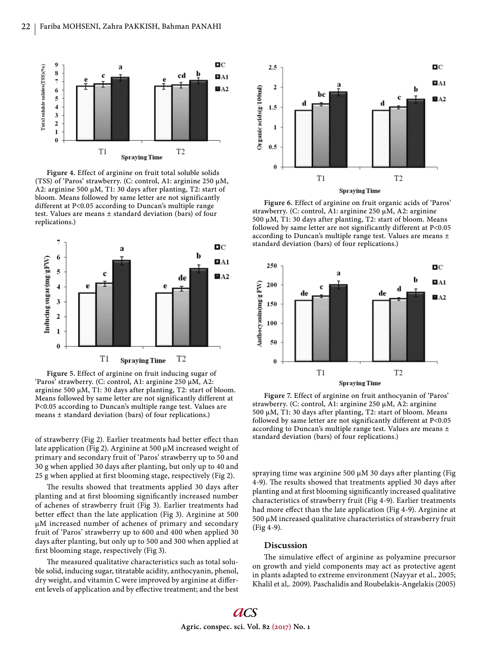

**Figure 4.** Effect of arginine on fruit total soluble solids (TSS) of 'Paros' strawberry. (C: control, A1: arginine 250 μM, A2: arginine 500 μM, T1: 30 days after planting, T2: start of bloom. Means followed by same letter are not significantly different at P<0.05 according to Duncan's multiple range test. Values are means ± standard deviation (bars) of four replications.)



**Figure 5.** Effect of arginine on fruit inducing sugar of 'Paros' strawberry. (C: control, A1: arginine 250 μM, A2: arginine 500 μM, T1: 30 days after planting, T2: start of bloom. Means followed by same letter are not significantly different at P<0.05 according to Duncan's multiple range test. Values are means ± standard deviation (bars) of four replications.)

of strawberry (Fig 2). Earlier treatments had better effect than late application (Fig 2). Arginine at 500 μM increased weight of primary and secondary fruit of 'Paros' strawberry up to 50 and 30 g when applied 30 days after planting, but only up to 40 and 25 g when applied at first blooming stage, respectively (Fig 2).

The results showed that treatments applied 30 days after planting and at first blooming significantly increased number of achenes of strawberry fruit (Fig 3). Earlier treatments had better effect than the late application (Fig 3). Arginine at 500 μM increased number of achenes of primary and secondary fruit of 'Paros' strawberry up to 600 and 400 when applied 30 days after planting, but only up to 500 and 300 when applied at first blooming stage, respectively (Fig 3).

The measured qualitative characteristics such as total soluble solid, inducing sugar, titratable acidity, anthocyanin, phenol, dry weight, and vitamin C were improved by arginine at different levels of application and by effective treatment; and the best



**Figure 6.** Effect of arginine on fruit organic acids of 'Paros' strawberry. (C: control, A1: arginine 250 μM, A2: arginine 500 μM, T1: 30 days after planting, T2: start of bloom. Means followed by same letter are not significantly different at P<0.05 according to Duncan's multiple range test. Values are means ± standard deviation (bars) of four replications.)



**Figure 7.** Effect of arginine on fruit anthocyanin of 'Paros' strawberry. (C: control, A1: arginine 250 μM, A2: arginine 500 μM, T1: 30 days after planting, T2: start of bloom. Means followed by same letter are not significantly different at P<0.05 according to Duncan's multiple range test. Values are means ± standard deviation (bars) of four replications.)

spraying time was arginine 500  $\mu$ M 30 days after planting (Fig 4-9). The results showed that treatments applied 30 days after planting and at first blooming significantly increased qualitative characteristics of strawberry fruit (Fig 4-9). Earlier treatments had more effect than the late application (Fig 4-9). Arginine at 500 μM increased qualitative characteristics of strawberry fruit (Fig 4-9).

# **Discussion**

The simulative effect of arginine as polyamine precursor on growth and yield components may act as protective agent in plants adapted to extreme environment (Nayyar et al., 2005; Khalil et al,. 2009). Paschalidis and Roubelakis-Angelakis (2005)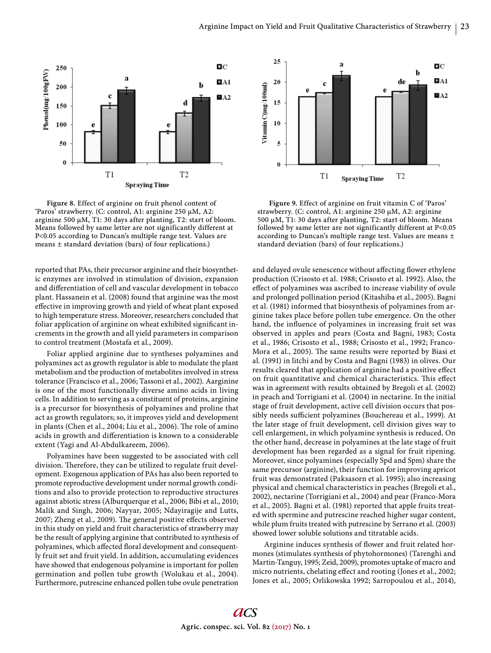

**Figure 8.** Effect of arginine on fruit phenol content of 'Paros' strawberry. (C: control, A1: arginine 250 μM, A2: arginine 500 μM, T1: 30 days after planting, T2: start of bloom. Means followed by same letter are not significantly different at P<0.05 according to Duncan's multiple range test. Values are means ± standard deviation (bars) of four replications.)

reported that PAs, their precursor arginine and their biosynthetic enzymes are involved in stimulation of division, expansion and differentiation of cell and vascular development in tobacco plant. Hassanein et al. (2008) found that arginine was the most effective in improving growth and yield of wheat plant exposed to high temperature stress. Moreover, researchers concluded that foliar application of arginine on wheat exhibited significant increments in the growth and all yield parameters in comparison to control treatment (Mostafa et al*.*, 2009).

Foliar applied arginine due to syntheses polyamines and polyamines act as growth regulator is able to modulate the plant metabolism and the production of metabolites involved in stress tolerance (Francisco et al., 2006; Tassoni et al*.*, 2002). Aarginine is one of the most functionally diverse amino acids in living cells. In addition to serving as a constituent of proteins, arginine is a precursor for biosynthesis of polyamines and proline that act as growth regulators; so, it improves yield and development in plants (Chen et al., 2004; Liu et al., 2006). The role of amino acids in growth and differentiation is known to a considerable extent (Yagi and Al-Abdulkareem, 2006).

Polyamines have been suggested to be associated with cell division. Therefore, they can be utilized to regulate fruit development. Exogenous application of PAs has also been reported to promote reproductive development under normal growth conditions and also to provide protection to reproductive structures against abiotic stress (Alburquerque et al., 2006; Bibi et al., 2010; Malik and Singh, 2006; Nayyar, 2005; Ndayiragije and Lutts, 2007; Zheng et al., 2009). The general positive effects observed in this study on yield and fruit characteristics of strawberry may be the result of applying arginine that contributed to synthesis of polyamines, which affected floral development and consequently fruit set and fruit yield. In addition, accumulating evidences have showed that endogenous polyamine is important for pollen germination and pollen tube growth (Wolukau et al., 2004). Furthermore, putrescine enhanced pollen tube ovule penetration



**Figure 9.** Effect of arginine on fruit vitamin C of 'Paros' strawberry. (C: control, A1: arginine 250 μM, A2: arginine 500 μM, T1: 30 days after planting, T2: start of bloom. Means followed by same letter are not significantly different at P<0.05 according to Duncan's multiple range test. Values are means ± standard deviation (bars) of four replications.)

and delayed ovule senescence without affecting flower ethylene production (Crisosto et al. 1988; Crisosto et al. 1992). Also, the effect of polyamines was ascribed to increase viability of ovule and prolonged pollination period (Kitashiba et al., 2005). Bagni et al. (1981) informed that biosynthesis of polyamines from arginine takes place before pollen tube emergence. On the other hand, the influence of polyamines in increasing fruit set was observed in apples and pears (Costa and Bagni, 1983; Costa et al., 1986; Crisosto et al., 1988; Crisosto et al., 1992; Franco-Mora et al., 2005). The same results were reported by Biasi et al. (1991) in litchi and by Costa and Bagni (1983) in olives. Our results cleared that application of arginine had a positive effect on fruit quantitative and chemical characteristics. This effect was in agreement with results obtained by Bregoli et al. (2002) in peach and Torrigiani et al. (2004) in nectarine. In the initial stage of fruit development, active cell division occurs that possibly needs sufficient polyamines (Bouchereau et al., 1999). At the later stage of fruit development, cell division gives way to cell enlargement, in which polyamine synthesis is reduced. On the other hand, decrease in polyamines at the late stage of fruit development has been regarded as a signal for fruit ripening. Moreover, since polyamines (especially Spd and Spm) share the same precursor (arginine), their function for improving apricot fruit was demonstrated (Paksasorn et al. 1995); also increasing physical and chemical characteristics in peaches (Bregoli et al., 2002), nectarine (Torrigiani et al., 2004) and pear (Franco-Mora et al., 2005). Bagni et al. (1981) reported that apple fruits treated with spermine and putrescine reached higher sugar content, while plum fruits treated with putrescine by Serrano et al. (2003) showed lower soluble solutions and titratable acids.

Arginine induces synthesis of flower and fruit related hormones (stimulates synthesis of phytohormones) (Tarenghi and Martin-Tanguy, 1995; Zeid, 2009), promotes uptake of macro and micro nutrients, chelating effect and rooting (Jones et al., 2002; Jones et al., 2005; Orlikowska 1992; Sarropoulou et al., 2014),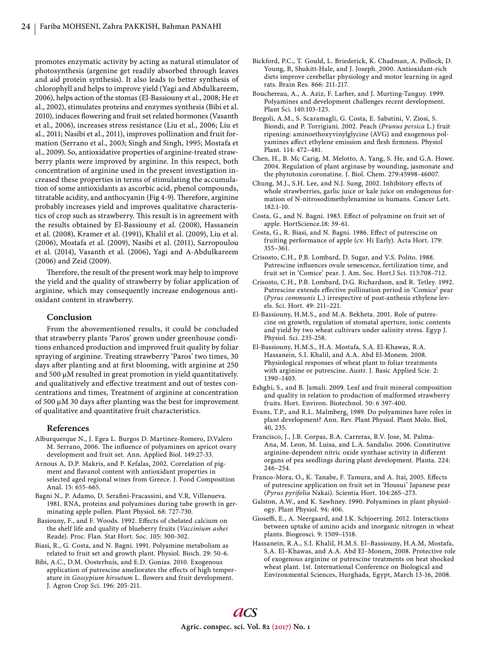promotes enzymatic activity by acting as natural stimulator of photosynthesis (argenine get readily absorbed through leaves and aid protein synthesis). It also leads to better synthesis of chlorophyll and helps to improve yield (Yagi and Abdulkareem, 2006), helps action of the stomas (El-Bassiouny et al., 2008; He et al., 2002), stimulates proteins and enzymes synthesis (Bibi et al. 2010), induces flowering and fruit set related hormones (Vasanth et al., 2006), increases stress resistance (Liu et al., 2006; Liu et al., 2011; Nasibi et al., 2011), improves pollination and fruit formation (Serrano et al., 2003; Singh and Singh, 1995; Mostafa et al., 2009). So, antioxidative properties of arginine-treated strawberry plants were improved by arginine. In this respect, both concentration of arginine used in the present investigation increased these properties in terms of stimulating the accumulation of some antioxidants as ascorbic acid, phenol compounds, titratable acidity, and anthocyanin (Fig 4-9). Therefore, arginine probably increases yield and improves qualitative characteristics of crop such as strawberry. This result is in agreement with the results obtained by El-Bassiouny et al. (2008), Hassanein et al. (2008), Kramer et al. (1991), Khalil et al. (2009), Liu et al. (2006), Mostafa et al. (2009), Nasibi et al. (2011), Sarropoulou et al. (2014), Vasanth et al. (2006), Yagi and A-Abdulkareem (2006) and Zeid (2009).

Therefore, the result of the present work may help to improve the yield and the quality of strawberry by foliar application of arginine, which may consequently increase endogenous antioxidant content in strawberry.

# **Conclusion**

From the abovementioned results, it could be concluded that strawberry plants 'Paros' grown under greenhouse conditions enhanced production and improved fruit quality by foliar spraying of arginine. Treating strawberry 'Paros' two times, 30 days after planting and at first blooming, with arginine at 250 and 500 μM resulted in great promotion in yield quantitatively. and qualitatively and effective treatment and out of testes concentrations and times, Treatment of arginine at concentration of 500 μM 30 days after planting was the best for improvement of qualitative and quantitative fruit characteristics.

#### **References**

- Alburquerque N., J. Egea L. Burgos D. Martinez-Romero, D.Valero M. Serrano. 2006. The influence of polyamines on apricot ovary development and fruit set. Ann. Applied Biol. 149:27-33.
- Arnous A, D.P. Makris, and P. Kefalas. 2002. Correlation of pigment and flavanol content with antioxidant properties in selected aged regional wines from Greece. J. Food Composition Anal. 15: 655-665.
- Bagni N., P. Adamo, D. Serafini-Fracassini, and V.R, Villanueva. 1981. RNA, proteins and polyamines during tube growth in germinating apple pollen. Plant Physiol. 68: 727-730.
- Basiouny, F., and F. Woods. 1992. Effects of chelated calcium on the shelf life and quality of blueberry fruits (*Vaccinium ashei* Reade). Proc. Flan. Stat Hort. Soc. 105: 300-302.
- Biasi, R., G. Costa, and N. Bagni. 1991. Polyamine metabolism as related to fruit set and growth plant. Physiol. Bioch. 29: 50-6.
- Bibi, A.C., D.M. Oosterhuis, and E.D. Gonias. 2010. Exogenous application of putrescine ameliorates the effects of high temperature in *Gossypium hirsutum* L. flowers and fruit development. J. Agron Crop Sci. 196: 205-211.
- Bickford, P.C., T. Gould, L. Briederick, K. Chadman, A. Pollock, D. Young, B, Shukitt-Hale, and J. Joseph. 2000. Antioxidant-rich diets improve cerebellar physiology and motor learning in aged rats. Brain Res. 866: 211-217.
- Bouchereau, A., A. Aziz, F. Larher, and J. Murting-Tanguy. 1999. Polyamines and development challenges recent development. Plant Sci. 140:103-125.
- Bregoli, A.M., S. Scaramagli, G. Costa, E. Sabatini, V. Ziosi, S. Biondi, and P. Torrigiani. 2002. Peach (*Prunus persica* L.) fruit ripening: aminoethoxyvinylglycine (AVG) and exogenous polyamines affect ethylene emission and flesh firmness. Physiol Plant. 114: 472–481.
- Chen, H., B. Mc Carig, M. Melotto, A. Yang, S. He, and G.A. Howe. 2004. Regulation of plant arginase by wounding, jasmonate and the phytotoxin coronatine. J. Biol. Chem. 279:45998-46007.
- Chung, M.J., S.H. Lee, and N.J. Sung. 2002. Inhibitory effects of whole strawberries, garlic juice or kale juice on endogenous formation of N-nitrosodimethylenamine in humans. Cancer Lett. 182:1-10.
- Costa, G., and N. Bagni. 1983. Effect of polyamine on fruit set of apple. HortScience.18: 59-61.
- Costa, G., R. Biasi, and N. Bagni. 1986. Effect of putrescine on fruiting performance of apple (cv. Hi Early). Acta Hort. 179: 355–361.
- Crisosto, C.H., P.B. Lombard, D. Sugar, and V.S. Polito. 1988. Putrescine influences ovule senescence, fertilization time, and fruit set in 'Comice' pear. J. Am. Soc. Hort.l Sci. 113:708–712.
- Crisosto, C.H., P.B. Lombard, D.G. Richardson, and R. Tetley. 1992. Putrescine extends effective pollination period in 'Comice' pear (*Pyrus communis* L.) irrespective of post-anthesis ethylene levels. Sci. Hort. 49: 211–221.
- El-Bassiouny, H.M.S., and M.A. Bekheta. 2001. Role of putrescine on growth, regulation of stomatal aperture, ionic contents and yield by two wheat cultivars under salinity stress. Egyp J. Physiol. Sci. 235-258.
- El-Bassiouny, H.M.S., H.A. Mostafa, S.A. El-Khawas, R.A. Hassanein, S.I. Khalil, and A.A. Abd El-Monem. 2008. Physiological responses of wheat plant to foliar treatments with arginine or putrescine. Austr. J. Basic Applied Scie. 2: 1390–1403.
- Eshghi, S., and B. Jamali. 2009. Leaf and fruit mineral composition and quality in relation to production of malformed strawberry fruits. Hort. Environ. Biotechnol. 50: 6 397-400.
- Evans, T.P., and R.L. Malmberg. 1989. Do polyamines have roles in plant development? Ann. Rev. Plant Physiol. Plant Molo. Biol, 40, 235.
- Francisco, J., J.B. Corpas, B.A. Carreras, R.V. Jose, M. Palma-Ana, M. Leon, M. Luisa, and L.A. Sandalio. 2006. Constitutive arginine-dependent nitric oxide synthase activity in different organs of pea seedlings during plant development. Planta. 224: 246–254.
- Franco-Mora, O., K. Tanabe, F. Tamura, and A. Itai, 2005. Effects of putrescine application on fruit set in 'Housui' Japanese pear (*Pyrus pyrifolia* Nakai). Scientia Hort. 104:265–273.
- Galston, A.W., and K. Sawhney. 1990. Polyamines in plant physiology. Plant Physiol. 94: 406.
- Gioseffi, E., A. Neergaard, and J.K. Schjoerring. 2012. Interactions between uptake of amino acids and inorganic nitrogen in wheat plants. Biogeosci. 9: 1509–1518.
- Hassanein, R.A., S.I. Khalil, H.M.S. El–Bassiouny, H.A.M, Mostafa, S.A. El–Khawas, and A.A. Abd El–Monem. 2008. Protective role of exogenous arginine or putrescine treatments on heat shocked wheat plant. 1st. International Conference on Biological and Environmental Sciences, Hurghada, Egypt, March 13-16, 2008.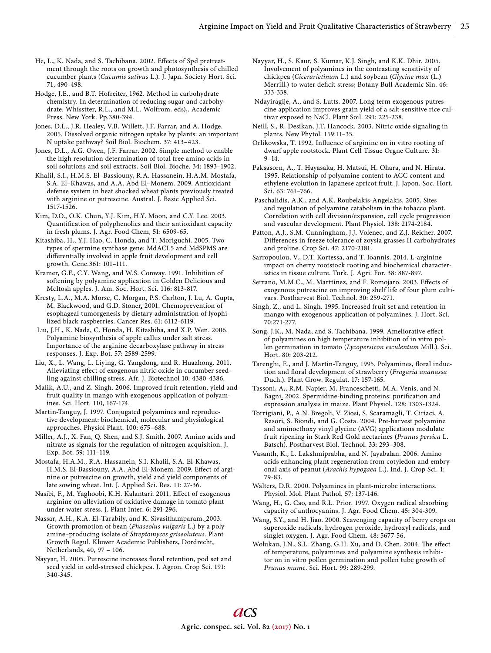He, L., K. Nada, and S. Tachibana. 2002. Effects of Spd pretreatment through the roots on growth and photosynthesis of chilled cucumber plants (*Cucumis sativus* L.). J. Japn. Society Hort. Sci. 71, 490-498.

Hodge, J.E., and B.T. Hofreiter. 1962. Method in carbohydrate chemistry. In determination of reducing sugar and carbohydrate. Whisstter, R.L., and M.L. Wolfrom. eds),. Academic Press. New York. Pp.380-394.

Jones, D.L., J.R. Healey, V.B. Willett, J.F. Farrar, and A. Hodge. 2005. Dissolved organic nitrogen uptake by plants: an important N uptake pathway? Soil Biol. Biochem. 37: 413–423.

Jones, D.L., A.G. Owen, J.F. Farrar. 2002. Simple method to enable the high resolution determination of total free amino acids in soil solutions and soil extracts. Soil Biol. Bioche. 34: 1893–1902.

Khalil, S.I., H.M.S. El–Bassiouny, R.A. Hassanein, H.A.M. Mostafa, S.A. El–Khawas, and A.A. Abd El–Monem. 2009. Antioxidant defense system in heat shocked wheat plants previously treated with arginine or putrescine. Austral. J. Basic Applied Sci. 1517-1526.

Kim, D.O., O.K. Chun, Y.J. Kim, H.Y. Moon, and C.Y. Lee. 2003. Quantification of polyphenolics and their antioxidant capacity in fresh plums. J. Agr. Food Chem, 51: 6509-65.

Kitashiba, H., Y.J. Hao, C. Honda, and T. Moriguchi. 2005. Two types of spermine synthase gene: MdACL5 and MdSPMS are differentially involved in apple fruit development and cell growth. Gene.361: 101–111.

Kramer, G.F., C.Y. Wang, and W.S. Conway. 1991. Inhibition of softening by polyamine application in Golden Delicious and McItosh apples. J. Am. Soc. Hort. Sci. 116: 813-817.

Kresty, L.A., M.A. Morse, C. Morgan, P.S. Carlton, J. Lu, A. Gupta, M. Blackwood, and G.D. Stoner. 2001. Chemoprevention of esophageal tumorgenesis by dietary administration of lyophilized black raspberries. Cancer Res. 61: 6112-6119.

 Liu, J.H., K. Nada, C. Honda, H. Kitashiba, and X.P. Wen. 2006. Polyamine biosynthesis of apple callus under salt stress. Importance of the arginine decarboxylase pathway in stress responses. J. Exp. Bot. 57: 2589-2599.

Liu, X., L. Wang, L. Liying, G. Yangdong, and R. Huazhong. 2011. Alleviating effect of exogenous nitric oxide in cucumber seedling against chilling stress. Afr. J. Biotechnol 10: 4380-4386.

Malik, A.U., and Z. Singh. 2006. Improved fruit retention, yield and fruit quality in mango with exogenous application of polyamines. Sci. Hort. 110, 167-174.

Martin-Tanguy, J. 1997. Conjugated polyamines and reproductive development: biochemical, molecular and physiological approaches. Physiol Plant. 100: 675–688.

Miller, A.J., X. Fan, Q. Shen, and S.J. Smith. 2007. Amino acids and nitrate as signals for the regulation of nitrogen acquisition. J. Exp. Bot. 59: 111–119.

Mostafa, H.A.M., R.A. Hassanein, S.I. Khalil, S.A. El-Khawas, H.M.S. El-Bassiouny, A.A. Abd El-Monem. 2009. Effect of arginine or putrescine on growth, yield and yield components of late sowing wheat. Int. J. Applied Sci. Res. 11: 27-36.

Nasibi, F., M. Yaghoobi, K.H. Kalantari. 2011. Effect of exogenous arginine on alleviation of oxidative damage in tomato plant under water stress. J. Plant Inter. 6: 291-296.

Nassar, A.H., K.A. El–Tarabily, and K. Sivasithamparam. 2003. Growth promotion of bean (*Phaseolus vulgaris* L.) by a polyamine–producing isolate of *Streptomyces griseoluteus*. Plant Growth Regul. Kluwer Academic Publishers, Dordrecht, Netherlands, 40, 97 – 106.

Nayyar, H. 2005. Putrescine increases floral retention, pod set and seed yield in cold-stressed chickpea. J. Agron. Crop Sci. 191: 340-345.

Nayyar, H., S. Kaur, S. Kumar, K.J. Singh, and K.K. Dhir. 2005. Involvement of polyamines in the contrasting sensitivity of chickpea (*Cicerarietinum* L.) and soybean (*Glycine max* (L.) Merrill.) to water deficit stress; Botany Bull Academic Sin. 46: 333-338.

 Ndayiragije, A., and S. Lutts. 2007. Long term exogenous putrescine application improves grain yield of a salt-sensitive rice cultivar exposed to NaCl. Plant Soil. 291: 225-238.

Neill, S., R. Desikan, J.T. Hancock. 2003. Nitric oxide signaling in plants. New Phytol. 159:11–35.

Orlikowska, T. 1992. Influence of arginine on in vitro rooting of dwarf apple rootstock. Plant Cell Tissue Orgne Culture. 31: 9–14.

Paksasorn, A., T. Hayasaka, H. Matsui, H. Ohara, and N. Hirata. 1995. Relationship of polyamine content to ACC content and ethylene evolution in Japanese apricot fruit. J. Japon. Soc. Hort. Sci. 63: 761–766.

 Paschalidis, A.K., and A.K. Roubelakis-Angelakis. 2005. Sites and regulation of polyamine catabolism in the tobacco plant. Correlation with cell division/expansion, cell cycle progression and vascular development. Plant Physiol. 138: 2174-2184.

Patton, A.J., S.M. Cunningham, J.J. Volenec, and Z.J. Reicher. 2007. Differences in freeze tolerance of zoysia grasses II carbohydrates and proline. Crop Sci. 47: 2170-2181.

Sarropoulou, V., D.T. Kortessa, and T. Ioannis. 2014. L-arginine impact on cherry rootstock rooting and biochemical characteristics in tissue culture. Turk. J. Agri. For. 38: 887-897.

Serrano, M.M.C., M. Marttinez, and F. Romojaro. 2003. Effects of exogenous putrescine on improving shelf life of four plum cultivars. Postharvest Biol. Technol. 30: 259-271.

Singh, Z., and L. Singh. 1995. Increased fruit set and retention in mango with exogenous application of polyamines. J. Hort. Sci. 70:271-277.

Song, J.K., M. Nada, and S. Tachibana. 1999. Ameliorative effect of polyamines on high temperature inhibition of in vitro pollen germination in tomato (*Lycopersicon esculentum* Mill.). Sci. Hort. 80: 203-212.

Tarenghi, E., and J. Martin-Tanguy. 1995. Polyamines, floral induction and floral development of strawberry (*Fragaria ananassa* Duch.). Plant Grow. Regulat. 17: 157-165.

Tassoni, A,, R.M. Napier, M. Franceschetti, M.A. Venis, and N. Bagni. 2002. Spermidine-binding proteins: purification and expression analysis in maize. Plant Physiol. 128: 1303-1324.

Torrigiani, P., A.N. Bregoli, V. Ziosi, S. Scaramagli, T. Ciriaci, A. Rasori, S. Biondi, and G. Costa. 2004. Pre-harvest polyamine and aminoethoxy vinyl glycine (AVG) applications modulate fruit ripening in Stark Red Gold nectarines (*Prunus persica* L. Batsch). Postharvest Biol. Technol. 33: 293–308.

Vasanth, K., L. Lakshmiprabha, and N. Jayabalan. 2006. Amino acids enhancing plant regeneration from cotyledon and embryonal axis of peanut (*Arachis hypogaea* L.). Ind. J. Crop Sci. 1: 79-83.

Walters, D.R. 2000. Polyamines in plant-microbe interactions. Physiol. Mol. Plant Pathol. 57: 137-146.

Wang, H., G. Cao, and R.L. Prior. 1997. Oxygen radical absorbing capacity of anthocyanins. J. Agr. Food Chem. 45: 304-309.

Wang, S.Y., and H. Jiao. 2000. Scavenging capacity of berry crops on superoxide radicals, hydrogen peroxide, hydroxyl radicals, and singlet oxygen. J. Agr. Food Chem. 48: 5677-56.

Wolukau, J.N., S.L. Zhang, G.H. Xu, and D. Chen. 2004. The effect of temperature, polyamines and polyamine synthesis inhibitor on in vitro pollen germination and pollen tube growth of *Prunus mume*. Sci. Hort. 99: 289-299.